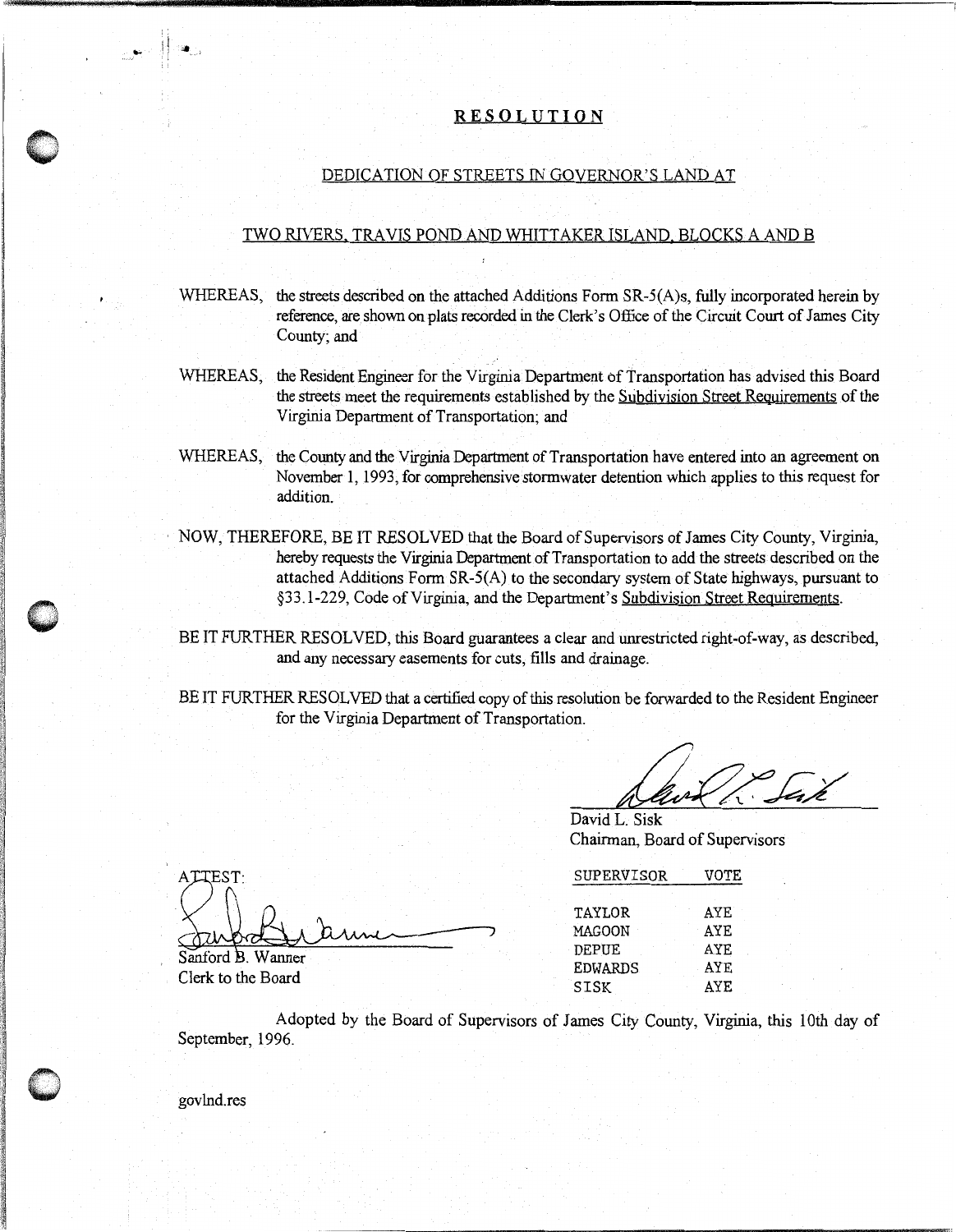#### RESOLUTION

 $~\sim$   $~\sim$   $~\sim$   $~\rm{m}$   $~\sim$   $~\sim$   $~\sim$   $~\sim$   $~\sim$   $~\sim$   $~\sim$   $~\sim$   $~\sim$   $~\sim$   $~\sim$   $~\sim$   $~\sim$   $~\sim$   $~\sim$   $~\sim$   $~\sim$   $~\sim$   $~\sim$   $~\sim$   $~\sim$   $~\sim$   $~\sim$   $~\sim$   $~\sim$   $~\sim$   $~\sim$   $~\sim$   $~\sim$   $~\sim$   $~\sim$   $~\sim$   $~$ 

### DEDICATION OF STREETS IN GOVERNOR'S LAND AT

### TWO RIVERS. TRAVIS POND AND WHITTAKER ISLAND. BLOCKS A AND B

- WHEREAS, the streets described on the attached Additions Form SR-5(A)s, fully incorporated herein by reference, are shown on plats recorded in the Clerk's Office of the Circuit Court of James City County; and
- WHEREAS, the Resident Engineer for the Virginia Department of Transportation has advised this Board the streets meet the requirements established by the Subdivision Street Requirements of the Virginia Department of Transportation; and
- WHEREAS, the County and the Virginia Department of Transportation have entered into an agreement on November 1, 1993, for comprehensive stormwater detention which applies to this request for addition.
- · NOW, THEREFORE, BE IT RESOLVED that the Board of Supervisors of James City County, Virginia, hereby requests the Virginia Department of Transportation to add the streets described on the attached Additions Form SR-5(A) to the secondary system of State highways, pursuant to §33.1-229, Code of Virginia, and the Department's Subdivision Street Requirements.
- BE IT FURTHER RESOLVED, this Board guarantees a clear and unrestricted right-of-way, as described, and any necessary easements for cuts, fills and drainage.
- BE IT FURTHER RESOLVED that a certified copy of this resolution be forwarded to the Resident Engineer for the Virginia Department of Transportation.

David L. Sisk Chairman, Board of Supervisors

| SUPERVISOR     | VOTE       |  |
|----------------|------------|--|
| TAYLOR         | AYE        |  |
| <b>MAGOON</b>  | AYE        |  |
| <b>DEPUE</b>   | AYE        |  |
| <b>EDWARDS</b> | AYE        |  |
| SISK           | <b>AYE</b> |  |
|                |            |  |

Clerk to the Board for the Virginia Department of Transportation.<br>
David L. Sisk<br>
Chairman, Board of Supervisors<br>
ATTEST:<br>
SUPERVISOR VOTE<br>
TAYLOR AYE<br>
Sanford B. Wanner<br>
Clerk to the Board<br>
Adopted by the Board of Supervisors of James City Adopted by the Board of Supervisors of James City County, Virginia, this 10th day of September, 1996.



gov Ind.res

 $($   $\vee$   $\wedge$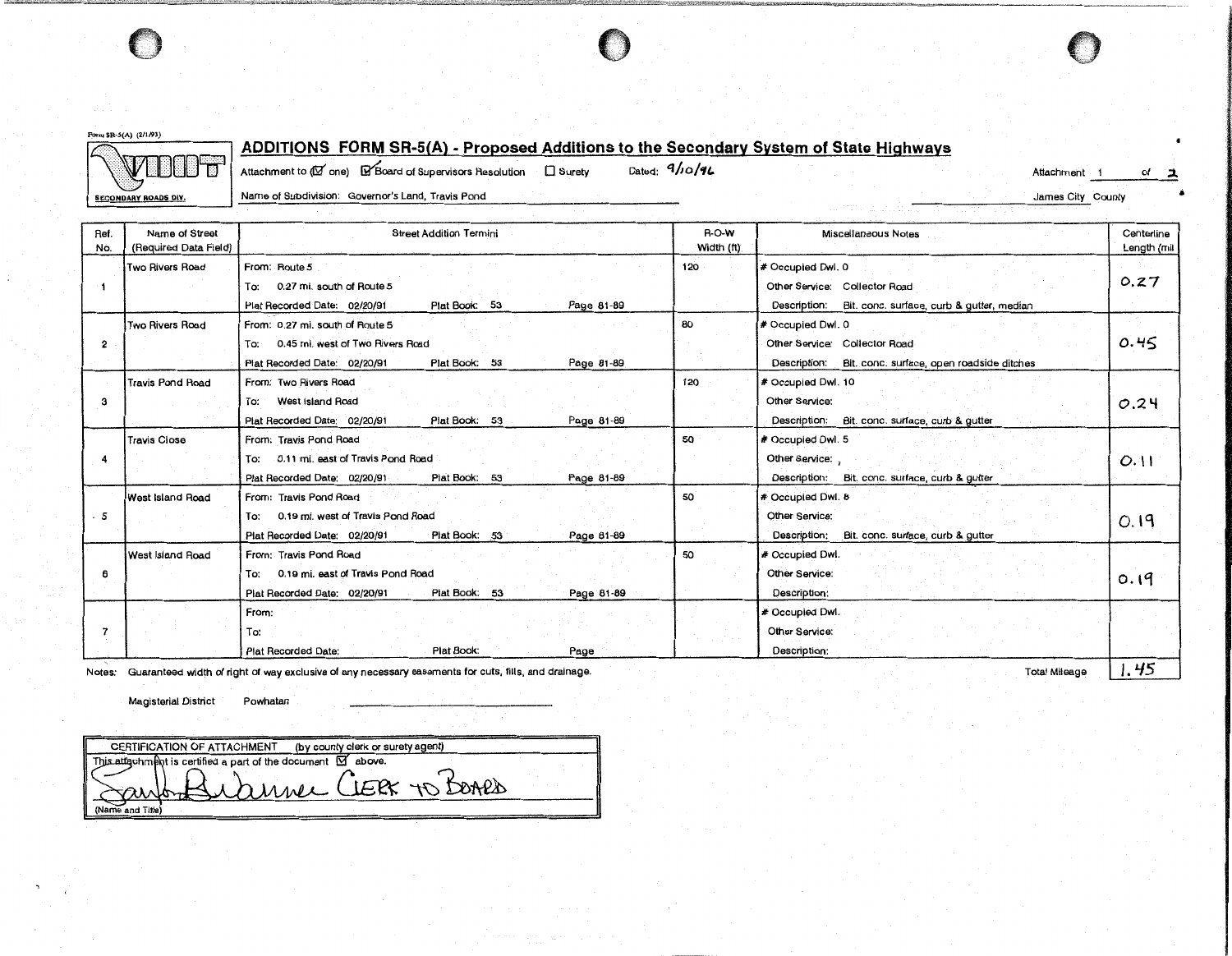

**fonu SR-5(A) (2/1193)** 

## **ADDITIONS FORM SR-5(A) - Proposed Additions to the Secondary System of State Highways**

<: .. ·.· m···CJ·.·ccr····.··.· :/ ·t: :? ".\i: ... **SECONDARY ROADS DIV.** 

Attachment to (**N**<sup>o</sup> one) **@13** Board of Supervisors Resolution **0** Surety Dated: **q/jo/41. Attachment of the Contract of Attachment** of **2** 

| <b>SECONDARY ROADS DIV.</b> |  |
|-----------------------------|--|
|                             |  |

Name of Subdivision: Governor's Land, Travis Pond James City County

| James City County |  |  |
|-------------------|--|--|
|-------------------|--|--|

| Ref.<br>No. | Name of Street<br>(Required Data Field) | <b>Street Addition Termini</b>                                                                                                         | R-O-W<br>Width (ft) | Miscellaneous Notes                                                                                          | Centerline<br>Length (mil |
|-------------|-----------------------------------------|----------------------------------------------------------------------------------------------------------------------------------------|---------------------|--------------------------------------------------------------------------------------------------------------|---------------------------|
|             | Two Rivers Road                         | From: Route 5<br>0.27 mi. south of Route 5<br>Tο:<br>Plat Book: 53<br>Page 81-89<br>Plat Recorded Date: 02/20/91                       | 120                 | # Occupied Dwl. 0<br>Other Service: Collector Road<br>Description: Bit. conc. surface, curb & gutter, median | 0.27                      |
| 2           | <b>Two Rivers Road</b>                  | From: 0.27 mi. south of Route 5<br>To: 0.45 mi. west of Two Rivers Road<br>Plat Book: 53<br>Page 81-89<br>Plat Recorded Date: 02/20/91 | 80                  | # Occupied Dwl. 0<br>Other Service: Collector Road<br>Description: Bit. conc. surface, open roadside ditches | 0.45                      |
| з           | <b>Travis Pond Road</b>                 | From: Two Rivers Road<br>West Island Road<br>To:<br>Plat Book: 53<br>Page 81-89<br>Plat Recorded Date: 02/20/91                        | 120                 | # Occupied Dwl. 10<br>Other Service:<br>Bit. conc. surface, curb & gutter<br>Description:                    | 0.24                      |
|             | <b>Travis Close</b>                     | From: Travis Pond Road<br>0.11 mi. east of Travis Pond Road<br>To:<br>Plat Book: 53<br>Page 81-89<br>Plat Recorded Date: 02/20/91      | 50                  | # Occupied Dwl. 5<br>Other Service:<br>Description: Bit. conc. surface, curb & gutter                        | 0.11                      |
| 5           | West Island Road                        | From: Travis Pond Road<br>0.19 mi. west of Travis Pond Road<br>To:<br>Plat Book: 53<br>Plat Recorded Date: 02/20/91<br>Page 81-89      | 50                  | # Occupied Dwl. 8<br>Other Service:<br>Description:<br>Bit. conc. surface, curb & gutter                     | 0.19                      |
| 6           | West Island Road                        | From: Travis Pond Road<br>0.19 mi. east of Travis Pond Road<br>To:<br>Plat Book: 53<br>Plat Recorded Date: 02/20/91<br>Page 81-89      | 50                  | # Occupied Dwl.<br>Other Service:<br>Description:                                                            | 0.19                      |
|             |                                         | From:<br>To:<br>Plat Book:<br>Page<br><b>Plat Recorded Date:</b>                                                                       |                     | # Occupied Dwl.<br>Other Service:<br>Description:                                                            | $\mathbf{r}$              |

Notes: Guaranteed width of right of way exclusive of any necessary easements for cuts, fills, and drainage. Total Mileage **I. <sup>45</sup> 75** 

Magisterial District Powhatan

CERTIFICATION OF ATTACHMENT (by county clerk or surety agent) This attachment is certified a part of the document  $\boxtimes$  above. annee CLERX TO BOARD (Name and Title)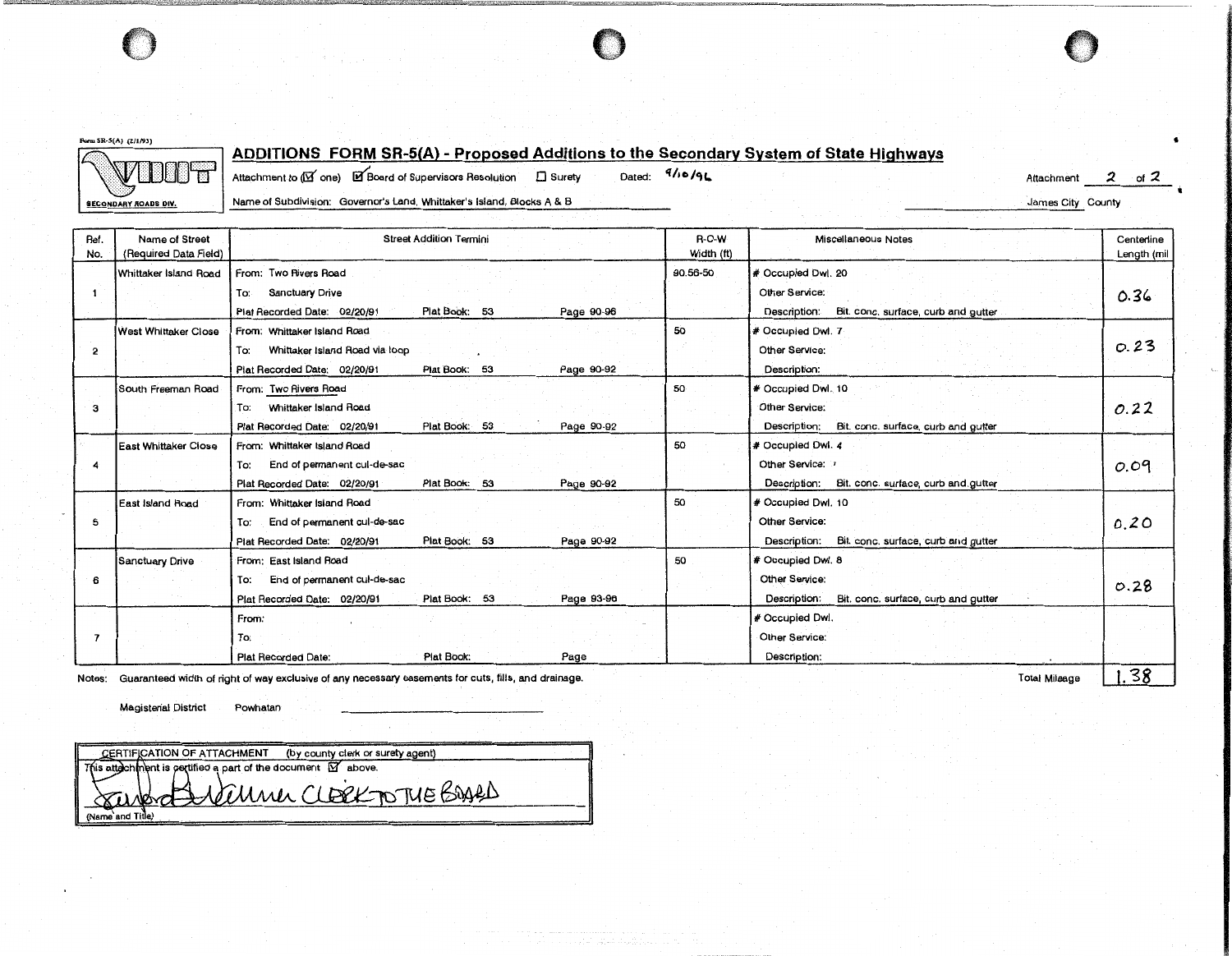

ITT CONTROLLED THE CONTROL TO THE CONTROL CONTROL TO THE CONTROL TO THE CONTROL TO THE CONTROL TO THE CONTROL TO THE CONTROL TO THE CONTROL TO THE CONTROL TO THE CONTROL TO THE CONTROL TO THE CONTROL TO THE CONTROL TO THE

**Fonn SR·S(A) (211/93)** 

ADDITIONS FORM SR-5(A) - Proposed Additions to the Secondary System of State Highways <br>Attachment to (IB' one) El Board of Supervisors Resolution D Surety Dated: <sup>9/16</sup>/94

Attachment 2 of 2 James City County

-------

•

**t** 

**SECONDARY ROADS DIV.** Name of Subdivision: Governor's Land, Whittaker's Island, Blocks A & B

| Name of Street<br>(Required Data Field) | <b>Street Addition Termini</b>                              | <b>R-O-W</b><br>Width (ft) | Miscellaneous Notes                                 | Centerline<br>Length (mil |
|-----------------------------------------|-------------------------------------------------------------|----------------------------|-----------------------------------------------------|---------------------------|
| Whittaker Island Road                   | From: Two Rivers Road                                       | 90.56-50                   | # Occupied Dwl. 20                                  |                           |
|                                         | Sanctuary Drive<br>To:                                      |                            | Other Service:                                      | 0.36                      |
|                                         | Plat Book: 53<br>Plat Recorded Date: 02/20/91<br>Page 90-96 |                            | Bit. conc. surface, curb and gutter<br>Description: |                           |
| <b>West Whittaker Close</b>             | From: Whittaker Island Road                                 | 50                         | # Occupied Dwl. 7                                   |                           |
|                                         | Whittaker Island Road via loop<br>To:                       |                            | Other Service:                                      | 0.23                      |
|                                         | Plat Recorded Date: 02/20/91<br>Plat Book: 53<br>Page 90-92 |                            | Description:                                        |                           |
| South Freeman Road                      | From: Two Rivers Road                                       | 50                         | # Occupied Dwl. 10                                  |                           |
|                                         | Whittaker Island Road<br>To:                                |                            | Other Service:                                      | 0.22                      |
|                                         | Plat Book: 53<br>Plat Recorded Date: 02/20/91<br>Page 90-92 |                            | Description:<br>Bit. conc. surface, curb and gutter |                           |
| <b>East Whittaker Close</b>             | From: Whittaker Island Road                                 | 50                         | # Occupied Dwl. 4                                   |                           |
|                                         | End of permanent cul-de-sac<br>To:                          |                            | Other Service:                                      | 0.09                      |
|                                         | Plat Book: 53<br>Plat Recorded Date: 02/20/91<br>Page 90-92 |                            | Bit. conc. surface, curb and gutter<br>Description: |                           |
| l East Island Road                      | From: Whittaker Island Road                                 | 50                         | # Occupied Dwl. 10                                  |                           |
|                                         | To:<br>End of permanent cul-de-sac                          |                            | Other Service:                                      | 0.20                      |
|                                         | Plat Recorded Date: 02/20/91<br>Plat Book: 53<br>Page 90-92 |                            | Bit. conc. surface, curb and gutter<br>Description: |                           |
| <b>Sanctuary Drive</b>                  | From: East Island Road                                      | 50                         | # Occupied Dwl. 8                                   |                           |
|                                         | End of permanent cul-de-sac<br>To:                          |                            | Other Service:                                      | 0.28                      |
|                                         | Plat Book: 53<br>Plat Recorded Date: 02/20/91<br>Page 93-96 |                            | Bit. conc. surface, curb and gutter<br>Description: |                           |
|                                         | From:                                                       |                            | # Occupied Dwl.                                     |                           |
|                                         | To:                                                         |                            | Other Service:                                      |                           |
|                                         | Plat Book:<br>Plat Recorded Date:<br>Page                   |                            | Description:                                        |                           |
|                                         |                                                             |                            |                                                     |                           |

Notes: Guaranteed width of right of way exclusive of any necessary easements for cuts, fills, and drainage.

Total Mileage | 1.58

Magisterial District Powhatan

CERTIFICATION OF ATTACHMENT (by county clerk or surety agent)<br>a attachment is pertified a part of the document  $\overline{M}$  above. This attach Leuner CLERK TO THE BOARD (Name and Title)